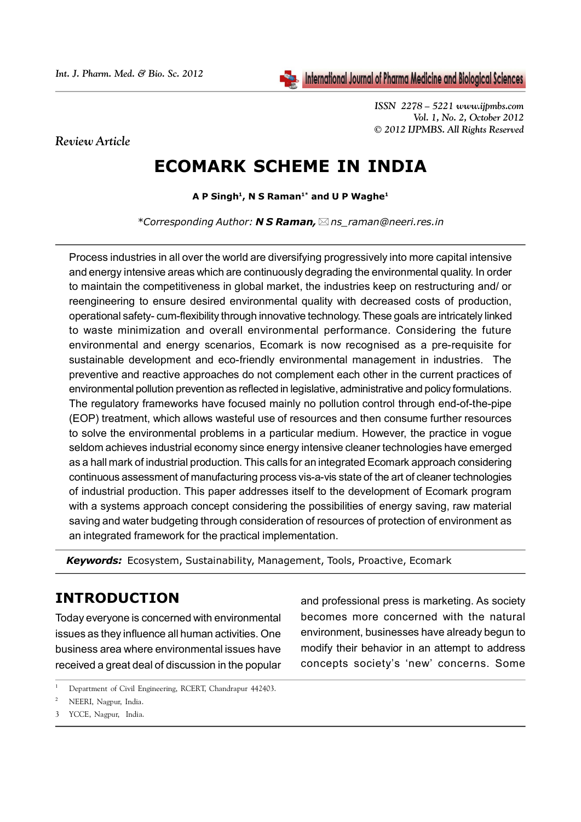*ISSN 2278 – 5221 www.ijpmbs.com Vol. 1, No. 2, October 2012 © 2012 IJPMBS. All Rights Reserved*

*Review Article*

# **ECOMARK SCHEME IN INDIA**

**A P Singh1, N S Raman1\* and U P Waghe1**

*\*Corresponding Author: N S Raman,ns\_raman@neeri.res.in*

Process industries in all over the world are diversifying progressively into more capital intensive and energy intensive areas which are continuously degrading the environmental quality. In order to maintain the competitiveness in global market, the industries keep on restructuring and/ or reengineering to ensure desired environmental quality with decreased costs of production, operational safety- cum-flexibility through innovative technology. These goals are intricately linked to waste minimization and overall environmental performance. Considering the future environmental and energy scenarios, Ecomark is now recognised as a pre-requisite for sustainable development and eco-friendly environmental management in industries. The preventive and reactive approaches do not complement each other in the current practices of environmental pollution prevention as reflected in legislative, administrative and policy formulations. The regulatory frameworks have focused mainly no pollution control through end-of-the-pipe (EOP) treatment, which allows wasteful use of resources and then consume further resources to solve the environmental problems in a particular medium. However, the practice in vogue seldom achieves industrial economy since energy intensive cleaner technologies have emerged as a hall mark of industrial production. This calls for an integrated Ecomark approach considering continuous assessment of manufacturing process vis-a-vis state of the art of cleaner technologies of industrial production. This paper addresses itself to the development of Ecomark program with a systems approach concept considering the possibilities of energy saving, raw material saving and water budgeting through consideration of resources of protection of environment as an integrated framework for the practical implementation.

*Keywords:* Ecosystem, Sustainability, Management, Tools, Proactive, Ecomark

### **INTRODUCTION**

Today everyone is concerned with environmental issues as they influence all human activities. One business area where environmental issues have received a great deal of discussion in the popular and professional press is marketing. As society becomes more concerned with the natural environment, businesses have already begun to modify their behavior in an attempt to address concepts society's 'new' concerns. Some

3 YCCE, Nagpur, India.

<sup>1</sup> Department of Civil Engineering, RCERT, Chandrapur 442403.

<sup>2</sup> NEERI, Nagpur, India.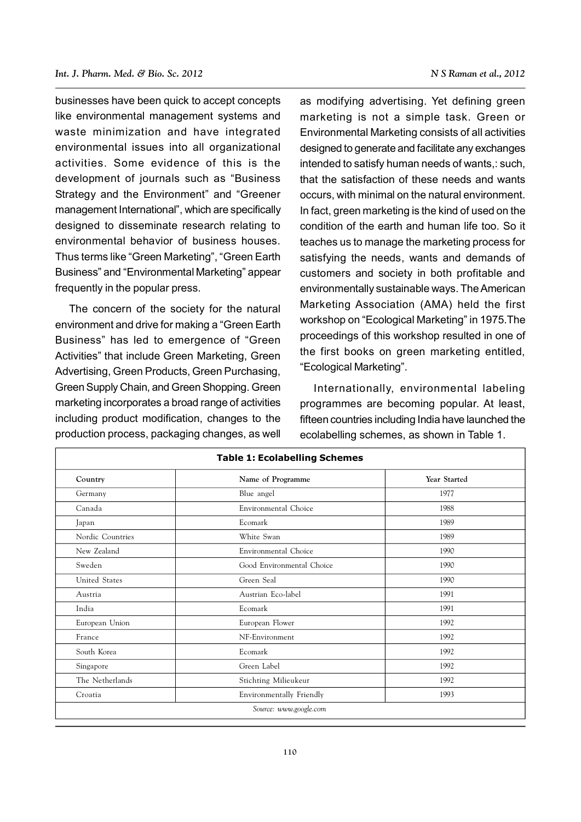businesses have been quick to accept concepts like environmental management systems and waste minimization and have integrated environmental issues into all organizational activities. Some evidence of this is the development of journals such as "Business Strategy and the Environment" and "Greener management International", which are specifically designed to disseminate research relating to environmental behavior of business houses. Thus terms like "Green Marketing", "Green Earth Business" and "Environmental Marketing" appear frequently in the popular press.

The concern of the society for the natural environment and drive for making a "Green Earth Business" has led to emergence of "Green Activities" that include Green Marketing, Green Advertising, Green Products, Green Purchasing, Green Supply Chain, and Green Shopping. Green marketing incorporates a broad range of activities including product modification, changes to the production process, packaging changes, as well

as modifying advertising. Yet defining green marketing is not a simple task. Green or Environmental Marketing consists of all activities designed to generate and facilitate any exchanges intended to satisfy human needs of wants,: such, that the satisfaction of these needs and wants occurs, with minimal on the natural environment. In fact, green marketing is the kind of used on the condition of the earth and human life too. So it teaches us to manage the marketing process for satisfying the needs, wants and demands of customers and society in both profitable and environmentally sustainable ways. The American Marketing Association (AMA) held the first workshop on "Ecological Marketing" in 1975.The proceedings of this workshop resulted in one of the first books on green marketing entitled, "Ecological Marketing".

Internationally, environmental labeling programmes are becoming popular. At least, fifteen countries including India have launched the ecolabelling schemes, as shown in Table 1.

| Country          | Name of Programme         | Year Started |
|------------------|---------------------------|--------------|
| Germany          | Blue angel                | 1977         |
| Canada           | Environmental Choice      | 1988         |
| Japan            | Ecomark                   | 1989         |
| Nordic Countries | White Swan                | 1989         |
| New Zealand      | Environmental Choice      | 1990         |
| Sweden           | Good Environmental Choice | 1990         |
| United States    | Green Seal                | 1990         |
| Austria          | Austrian Eco-label        | 1991         |
| India            | Ecomark                   | 1991         |
| European Union   | European Flower           | 1992         |
| France           | NF-Environment            | 1992         |
| South Korea      | Ecomark                   |              |
| Singapore        | Green Label               | 1992         |
| The Netherlands  | Stichting Milieukeur      | 1992         |
| Croatia          | Environmentally Friendly  | 1993         |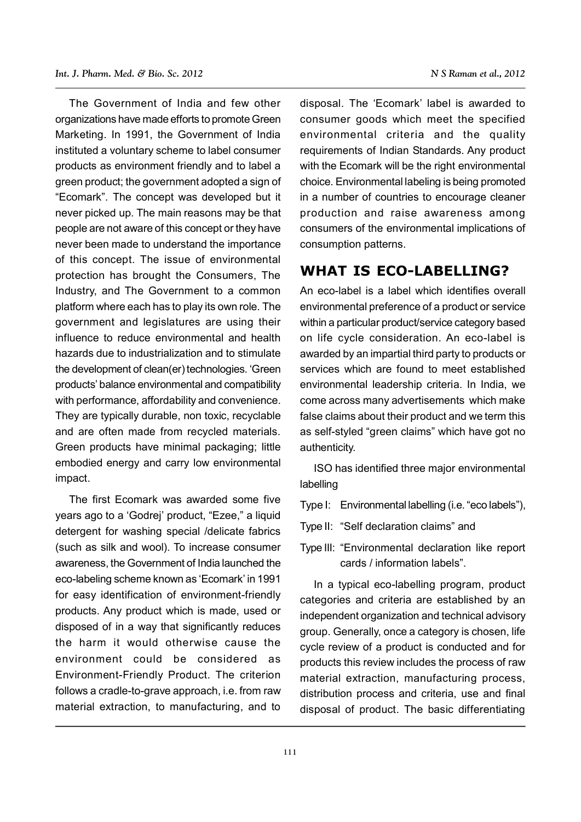The Government of India and few other organizations have made efforts to promote Green Marketing. In 1991, the Government of India instituted a voluntary scheme to label consumer products as environment friendly and to label a green product; the government adopted a sign of "Ecomark". The concept was developed but it never picked up. The main reasons may be that people are not aware of this concept or they have never been made to understand the importance of this concept. The issue of environmental protection has brought the Consumers, The Industry, and The Government to a common platform where each has to play its own role. The government and legislatures are using their influence to reduce environmental and health hazards due to industrialization and to stimulate the development of clean(er) technologies. 'Green products' balance environmental and compatibility with performance, affordability and convenience. They are typically durable, non toxic, recyclable and are often made from recycled materials. Green products have minimal packaging; little embodied energy and carry low environmental impact.

The first Ecomark was awarded some five years ago to a 'Godrej' product, "Ezee," a liquid detergent for washing special /delicate fabrics (such as silk and wool). To increase consumer awareness, the Government of India launched the eco-labeling scheme known as 'Ecomark' in 1991 for easy identification of environment-friendly products. Any product which is made, used or disposed of in a way that significantly reduces the harm it would otherwise cause the environment could be considered as Environment-Friendly Product. The criterion follows a cradle-to-grave approach, i.e. from raw material extraction, to manufacturing, and to

disposal. The 'Ecomark' label is awarded to consumer goods which meet the specified environmental criteria and the quality requirements of Indian Standards. Any product with the Ecomark will be the right environmental choice. Environmental labeling is being promoted in a number of countries to encourage cleaner production and raise awareness among consumers of the environmental implications of consumption patterns.

### **WHAT IS ECO-LABELLING?**

An eco-label is a label which identifies overall environmental preference of a product or service within a particular product/service category based on life cycle consideration. An eco-label is awarded by an impartial third party to products or services which are found to meet established environmental leadership criteria. In India, we come across many advertisements which make false claims about their product and we term this as self-styled "green claims" which have got no authenticity.

ISO has identified three major environmental labelling

Type I: Environmental labelling (i.e. "eco labels"),

- Type II: "Self declaration claims" and
- Type III: "Environmental declaration like report cards / information labels".

In a typical eco-labelling program, product categories and criteria are established by an independent organization and technical advisory group. Generally, once a category is chosen, life cycle review of a product is conducted and for products this review includes the process of raw material extraction, manufacturing process, distribution process and criteria, use and final disposal of product. The basic differentiating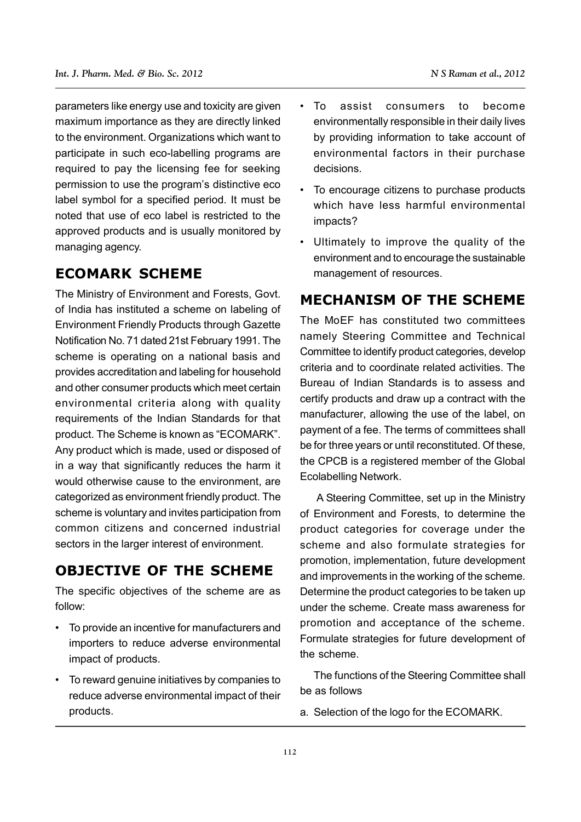parameters like energy use and toxicity are given maximum importance as they are directly linked to the environment. Organizations which want to participate in such eco-labelling programs are required to pay the licensing fee for seeking permission to use the program's distinctive eco label symbol for a specified period. It must be noted that use of eco label is restricted to the approved products and is usually monitored by managing agency.

### **ECOMARK SCHEME**

The Ministry of Environment and Forests, Govt. of India has instituted a scheme on labeling of Environment Friendly Products through Gazette Notification No. 71 dated 21st February 1991. The scheme is operating on a national basis and provides accreditation and labeling for household and other consumer products which meet certain environmental criteria along with quality requirements of the Indian Standards for that product. The Scheme is known as "ECOMARK". Any product which is made, used or disposed of in a way that significantly reduces the harm it would otherwise cause to the environment, are categorized as environment friendly product. The scheme is voluntary and invites participation from common citizens and concerned industrial sectors in the larger interest of environment.

### **OBJECTIVE OF THE SCHEME**

The specific objectives of the scheme are as follow:

- To provide an incentive for manufacturers and importers to reduce adverse environmental impact of products.
- To reward genuine initiatives by companies to reduce adverse environmental impact of their products.
- To assist consumers to become environmentally responsible in their daily lives by providing information to take account of environmental factors in their purchase decisions.
- To encourage citizens to purchase products which have less harmful environmental impacts?
- Ultimately to improve the quality of the environment and to encourage the sustainable management of resources.

### **MECHANISM OF THE SCHEME**

The MoEF has constituted two committees namely Steering Committee and Technical Committee to identify product categories, develop criteria and to coordinate related activities. The Bureau of Indian Standards is to assess and certify products and draw up a contract with the manufacturer, allowing the use of the label, on payment of a fee. The terms of committees shall be for three years or until reconstituted. Of these, the CPCB is a registered member of the Global Ecolabelling Network.

A Steering Committee, set up in the Ministry of Environment and Forests, to determine the product categories for coverage under the scheme and also formulate strategies for promotion, implementation, future development and improvements in the working of the scheme. Determine the product categories to be taken up under the scheme. Create mass awareness for promotion and acceptance of the scheme. Formulate strategies for future development of the scheme.

The functions of the Steering Committee shall be as follows

a. Selection of the logo for the ECOMARK.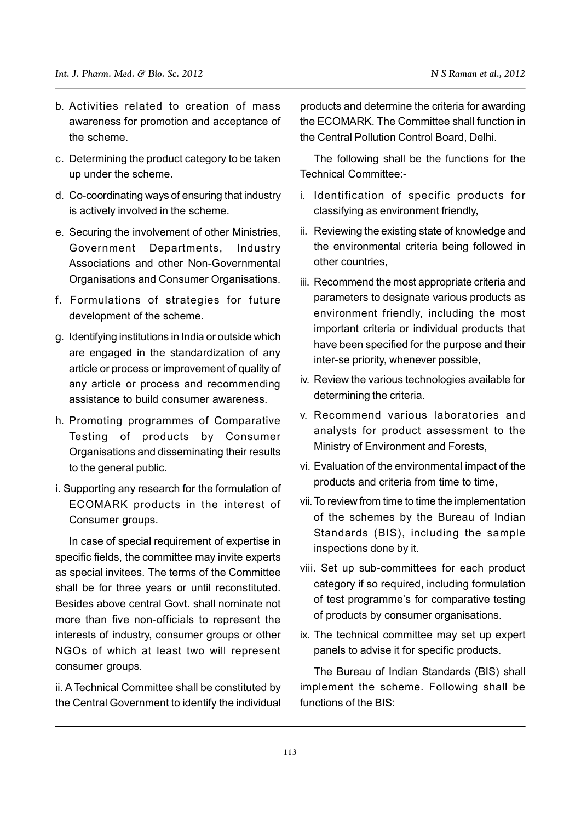- b. Activities related to creation of mass awareness for promotion and acceptance of the scheme.
- c. Determining the product category to be taken up under the scheme.
- d. Co-coordinating ways of ensuring that industry is actively involved in the scheme.
- e. Securing the involvement of other Ministries, Government Departments, Industry Associations and other Non-Governmental Organisations and Consumer Organisations.
- f. Formulations of strategies for future development of the scheme.
- g. Identifying institutions in India or outside which are engaged in the standardization of any article or process or improvement of quality of any article or process and recommending assistance to build consumer awareness.
- h. Promoting programmes of Comparative Testing of products by Consumer Organisations and disseminating their results to the general public.
- i. Supporting any research for the formulation of ECOMARK products in the interest of Consumer groups.

In case of special requirement of expertise in specific fields, the committee may invite experts as special invitees. The terms of the Committee shall be for three years or until reconstituted. Besides above central Govt. shall nominate not more than five non-officials to represent the interests of industry, consumer groups or other NGOs of which at least two will represent consumer groups.

ii. A Technical Committee shall be constituted by the Central Government to identify the individual products and determine the criteria for awarding the ECOMARK. The Committee shall function in the Central Pollution Control Board, Delhi.

The following shall be the functions for the Technical Committee:-

- i. Identification of specific products for classifying as environment friendly,
- ii. Reviewing the existing state of knowledge and the environmental criteria being followed in other countries,
- iii. Recommend the most appropriate criteria and parameters to designate various products as environment friendly, including the most important criteria or individual products that have been specified for the purpose and their inter-se priority, whenever possible,
- iv. Review the various technologies available for determining the criteria.
- v. Recommend various laboratories and analysts for product assessment to the Ministry of Environment and Forests,
- vi. Evaluation of the environmental impact of the products and criteria from time to time,
- vii.To review from time to time the implementation of the schemes by the Bureau of Indian Standards (BIS), including the sample inspections done by it.
- viii. Set up sub-committees for each product category if so required, including formulation of test programme's for comparative testing of products by consumer organisations.
- ix. The technical committee may set up expert panels to advise it for specific products.

The Bureau of Indian Standards (BIS) shall implement the scheme. Following shall be functions of the BIS: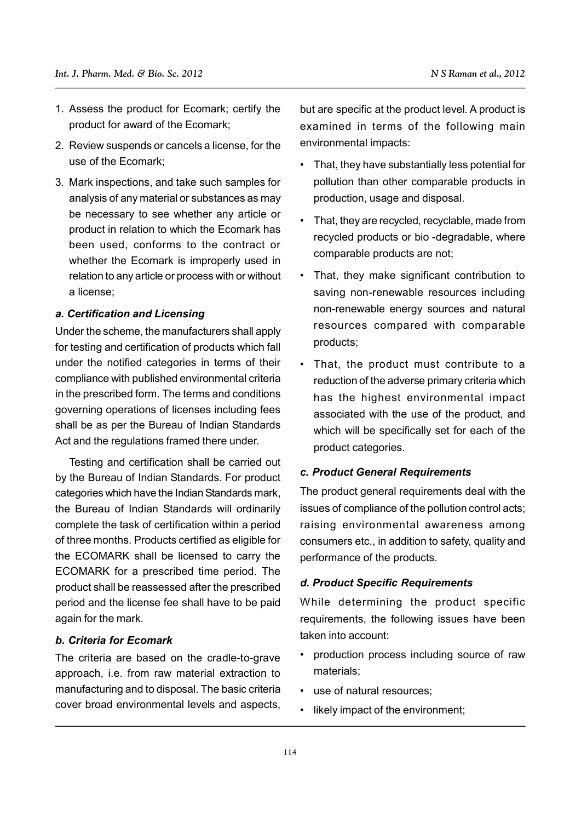- 1. Assess the product for Ecomark; certify the product for award of the Ecomark;
- 2. Review suspends or cancels a license, for the use of the Ecomark;
- 3. Mark inspections, and take such samples for analysis of any material or substances as may be necessary to see whether any article or product in relation to which the Ecomark has been used, conforms to the contract or whether the Ecomark is improperly used in relation to any article or process with or without a license;

#### *a. Certification and Licensing*

Under the scheme, the manufacturers shall apply for testing and certification of products which fall under the notified categories in terms of their compliance with published environmental criteria in the prescribed form. The terms and conditions governing operations of licenses including fees shall be as per the Bureau of Indian Standards Act and the regulations framed there under.

Testing and certification shall be carried out by the Bureau of Indian Standards. For product categories which have the Indian Standards mark, the Bureau of Indian Standards will ordinarily complete the task of certification within a period of three months. Products certified as eligible for the ECOMARK shall be licensed to carry the ECOMARK for a prescribed time period. The product shall be reassessed after the prescribed period and the license fee shall have to be paid again for the mark.

#### *b. Criteria for Ecomark*

The criteria are based on the cradle-to-grave approach, i.e. from raw material extraction to manufacturing and to disposal. The basic criteria cover broad environmental levels and aspects,

but are specific at the product level. A product is examined in terms of the following main environmental impacts:

- That, they have substantially less potential for pollution than other comparable products in production, usage and disposal.
- That, they are recycled, recyclable, made from recycled products or bio -degradable, where comparable products are not;
- That, they make significant contribution to saving non-renewable resources including non-renewable energy sources and natural resources compared with comparable products;
- That, the product must contribute to a reduction of the adverse primary criteria which has the highest environmental impact associated with the use of the product, and which will be specifically set for each of the product categories.

#### *c. Product General Requirements*

The product general requirements deal with the issues of compliance of the pollution control acts; raising environmental awareness among consumers etc., in addition to safety, quality and performance of the products.

#### *d. Product Specific Requirements*

While determining the product specific requirements, the following issues have been taken into account:

- production process including source of raw materials;
- use of natural resources;
- likely impact of the environment;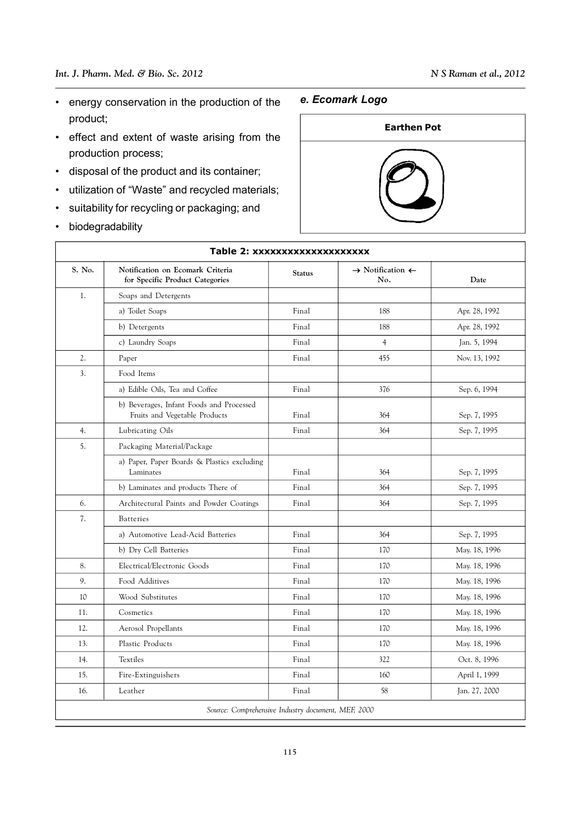- energy conservation in the production of the product;
- effect and extent of waste arising from the production process;
- disposal of the product and its container;
- utilization of "Waste" and recycled materials;
- suitability for recycling or packaging; and
- biodegradability

 $\sqrt{ }$ 

#### *e. Ecomark Logo*



| Table 2: xxxxxxxxxxxxxxxxxxx                       |                                                                           |               |                                                |               |  |  |
|----------------------------------------------------|---------------------------------------------------------------------------|---------------|------------------------------------------------|---------------|--|--|
| S. No.                                             | Notification on Ecomark Criteria<br>for Specific Product Categories       | <b>Status</b> | $\rightarrow$ Notification $\leftarrow$<br>No. | Date          |  |  |
| 1.                                                 | Soaps and Detergents                                                      |               |                                                |               |  |  |
|                                                    | a) Toilet Soaps                                                           | Final         | 188                                            | Apr. 28, 1992 |  |  |
|                                                    | b) Detergents                                                             | Final         | 188                                            | Apr. 28, 1992 |  |  |
|                                                    | c) Laundry Soaps                                                          | Final         | $\overline{4}$                                 | Jan. 5, 1994  |  |  |
| 2.                                                 | Paper                                                                     | Final         | 455                                            | Nov. 13, 1992 |  |  |
| 3 <sub>1</sub>                                     | Food Items                                                                |               |                                                |               |  |  |
|                                                    | a) Edible Oils, Tea and Coffee                                            | Final         | 376                                            | Sep. 6, 1994  |  |  |
|                                                    | b) Beverages, Infant Foods and Processed<br>Fruits and Vegetable Products | Final         | 364                                            | Sep. 7, 1995  |  |  |
| 4.                                                 | Lubricating Oils                                                          | Final         | 364                                            | Sep. 7, 1995  |  |  |
| 5.                                                 | Packaging Material/Package                                                |               |                                                |               |  |  |
|                                                    | a) Paper, Paper Boards & Plastics excluding<br>Laminates                  | Final         | 364                                            | Sep. 7, 1995  |  |  |
|                                                    | b) Laminates and products There of                                        | Final         | 364                                            | Sep. 7, 1995  |  |  |
| 6.                                                 | Architectural Paints and Powder Coatings                                  | Final         | 364                                            | Sep. 7, 1995  |  |  |
| 7.                                                 | <b>Batteries</b>                                                          |               |                                                |               |  |  |
|                                                    | a) Automotive Lead-Acid Batteries                                         | Final         | 364                                            | Sep. 7, 1995  |  |  |
|                                                    | b) Dry Cell Batteries                                                     | Final         | 170                                            | May. 18, 1996 |  |  |
| 8.                                                 | Electrical/Electronic Goods                                               | Final         | 170                                            | May. 18, 1996 |  |  |
| 9.                                                 | Food Additives                                                            | Final         | 170                                            | May. 18, 1996 |  |  |
| 10                                                 | Wood Substitutes                                                          | Final         | 170                                            | May. 18, 1996 |  |  |
| 11.                                                | Cosmetics                                                                 | Final         | 170                                            | May. 18, 1996 |  |  |
| 12.                                                | Aerosol Propellants                                                       | Final         | 170                                            | May. 18, 1996 |  |  |
| 13.                                                | Plastic Products                                                          | Final         | 170                                            | May. 18, 1996 |  |  |
| 14.                                                | <b>Textiles</b>                                                           | Final         | 322                                            | Oct. 8, 1996  |  |  |
| 15.                                                | Fire-Extinguishers                                                        | Final         | 160                                            | April 1, 1999 |  |  |
| 16.                                                | Leather                                                                   | Final         | 58                                             | Jan. 27, 2000 |  |  |
| Source: Comprehensive Industry document, MEF, 2000 |                                                                           |               |                                                |               |  |  |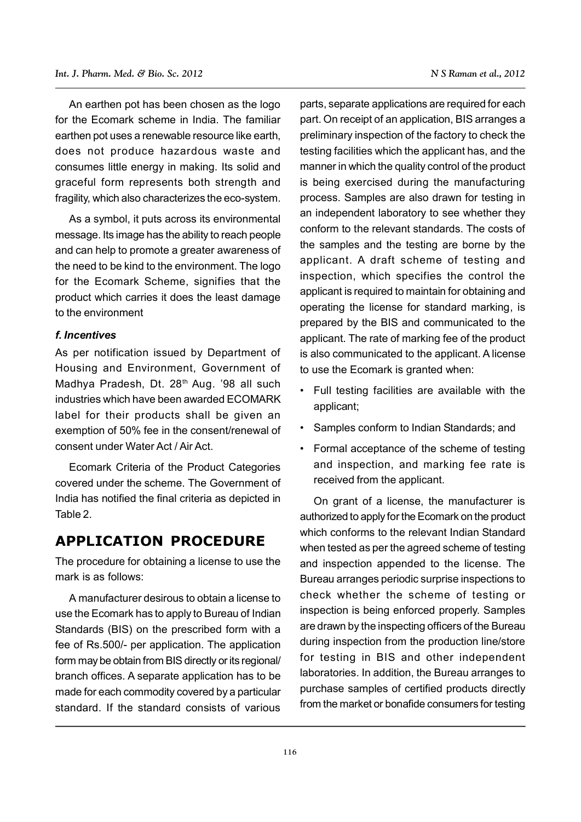An earthen pot has been chosen as the logo for the Ecomark scheme in India. The familiar earthen pot uses a renewable resource like earth, does not produce hazardous waste and consumes little energy in making. Its solid and graceful form represents both strength and fragility, which also characterizes the eco-system.

As a symbol, it puts across its environmental message. Its image has the ability to reach people and can help to promote a greater awareness of the need to be kind to the environment. The logo for the Ecomark Scheme, signifies that the product which carries it does the least damage to the environment

#### *f. Incentives*

As per notification issued by Department of Housing and Environment, Government of Madhya Pradesh, Dt. 28<sup>th</sup> Aug. '98 all such industries which have been awarded ECOMARK label for their products shall be given an exemption of 50% fee in the consent/renewal of consent under Water Act / Air Act.

Ecomark Criteria of the Product Categories covered under the scheme. The Government of India has notified the final criteria as depicted in Table 2.

### **APPLICATION PROCEDURE**

The procedure for obtaining a license to use the mark is as follows:

A manufacturer desirous to obtain a license to use the Ecomark has to apply to Bureau of Indian Standards (BIS) on the prescribed form with a fee of Rs.500/- per application. The application form may be obtain from BIS directly or its regional/ branch offices. A separate application has to be made for each commodity covered by a particular standard. If the standard consists of various parts, separate applications are required for each part. On receipt of an application, BIS arranges a preliminary inspection of the factory to check the testing facilities which the applicant has, and the manner in which the quality control of the product is being exercised during the manufacturing process. Samples are also drawn for testing in an independent laboratory to see whether they conform to the relevant standards. The costs of the samples and the testing are borne by the applicant. A draft scheme of testing and inspection, which specifies the control the applicant is required to maintain for obtaining and operating the license for standard marking, is prepared by the BIS and communicated to the applicant. The rate of marking fee of the product is also communicated to the applicant. A license to use the Ecomark is granted when:

- Full testing facilities are available with the applicant;
- Samples conform to Indian Standards; and
- Formal acceptance of the scheme of testing and inspection, and marking fee rate is received from the applicant.

On grant of a license, the manufacturer is authorized to apply for the Ecomark on the product which conforms to the relevant Indian Standard when tested as per the agreed scheme of testing and inspection appended to the license. The Bureau arranges periodic surprise inspections to check whether the scheme of testing or inspection is being enforced properly. Samples are drawn by the inspecting officers of the Bureau during inspection from the production line/store for testing in BIS and other independent laboratories. In addition, the Bureau arranges to purchase samples of certified products directly from the market or bonafide consumers for testing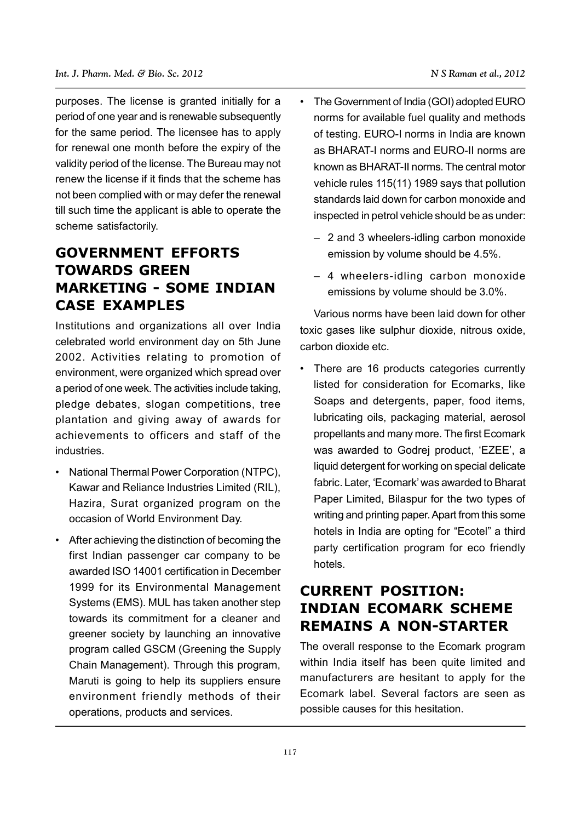purposes. The license is granted initially for a period of one year and is renewable subsequently for the same period. The licensee has to apply for renewal one month before the expiry of the validity period of the license. The Bureau may not renew the license if it finds that the scheme has not been complied with or may defer the renewal till such time the applicant is able to operate the scheme satisfactorily.

## **GOVERNMENT EFFORTS TOWARDS GREEN MARKETING - SOME INDIAN CASE EXAMPLES**

Institutions and organizations all over India celebrated world environment day on 5th June 2002. Activities relating to promotion of environment, were organized which spread over a period of one week. The activities include taking, pledge debates, slogan competitions, tree plantation and giving away of awards for achievements to officers and staff of the industries.

- National Thermal Power Corporation (NTPC), Kawar and Reliance Industries Limited (RIL), Hazira, Surat organized program on the occasion of World Environment Day.
- After achieving the distinction of becoming the first Indian passenger car company to be awarded ISO 14001 certification in December 1999 for its Environmental Management Systems (EMS). MUL has taken another step towards its commitment for a cleaner and greener society by launching an innovative program called GSCM (Greening the Supply Chain Management). Through this program, Maruti is going to help its suppliers ensure environment friendly methods of their operations, products and services.
- The Government of India (GOI) adopted EURO norms for available fuel quality and methods of testing. EURO-I norms in India are known as BHARAT-I norms and EURO-II norms are known as BHARAT-II norms. The central motor vehicle rules 115(11) 1989 says that pollution standards laid down for carbon monoxide and inspected in petrol vehicle should be as under:
	- 2 and 3 wheelers-idling carbon monoxide emission by volume should be 4.5%.
	- 4 wheelers-idling carbon monoxide emissions by volume should be 3.0%.

Various norms have been laid down for other toxic gases like sulphur dioxide, nitrous oxide, carbon dioxide etc.

• There are 16 products categories currently listed for consideration for Ecomarks, like Soaps and detergents, paper, food items, lubricating oils, packaging material, aerosol propellants and many more. The first Ecomark was awarded to Godrej product, 'EZEE', a liquid detergent for working on special delicate fabric. Later, 'Ecomark' was awarded to Bharat Paper Limited, Bilaspur for the two types of writing and printing paper. Apart from this some hotels in India are opting for "Ecotel" a third party certification program for eco friendly hotels.

## **CURRENT POSITION: INDIAN ECOMARK SCHEME REMAINS A NON-STARTER**

The overall response to the Ecomark program within India itself has been quite limited and manufacturers are hesitant to apply for the Ecomark label. Several factors are seen as possible causes for this hesitation.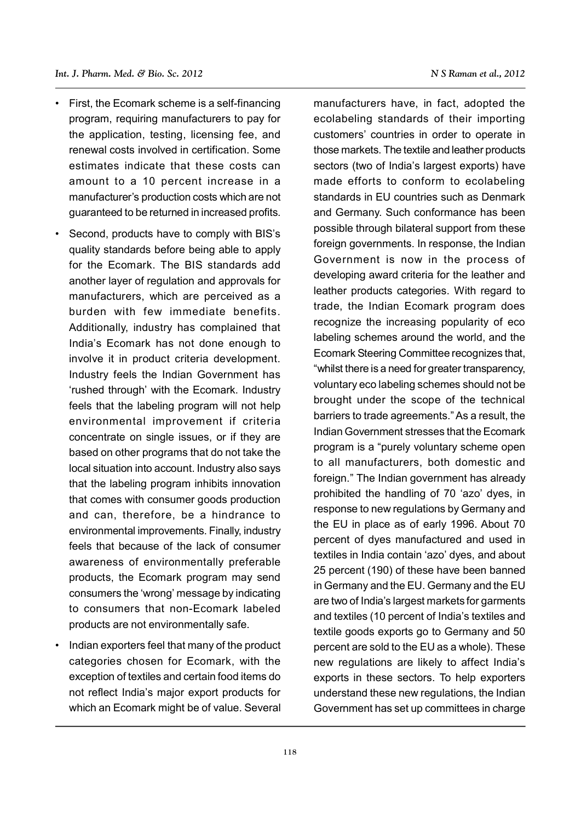- First, the Ecomark scheme is a self-financing program, requiring manufacturers to pay for the application, testing, licensing fee, and renewal costs involved in certification. Some estimates indicate that these costs can amount to a 10 percent increase in a manufacturer's production costs which are not guaranteed to be returned in increased profits.
- Second, products have to comply with BIS's quality standards before being able to apply for the Ecomark. The BIS standards add another layer of regulation and approvals for manufacturers, which are perceived as a burden with few immediate benefits. Additionally, industry has complained that India's Ecomark has not done enough to involve it in product criteria development. Industry feels the Indian Government has 'rushed through' with the Ecomark. Industry feels that the labeling program will not help environmental improvement if criteria concentrate on single issues, or if they are based on other programs that do not take the local situation into account. Industry also says that the labeling program inhibits innovation that comes with consumer goods production and can, therefore, be a hindrance to environmental improvements. Finally, industry feels that because of the lack of consumer awareness of environmentally preferable products, the Ecomark program may send consumers the 'wrong' message by indicating to consumers that non-Ecomark labeled products are not environmentally safe.
- Indian exporters feel that many of the product categories chosen for Ecomark, with the exception of textiles and certain food items do not reflect India's major export products for which an Ecomark might be of value. Several

manufacturers have, in fact, adopted the ecolabeling standards of their importing customers' countries in order to operate in those markets. The textile and leather products sectors (two of India's largest exports) have made efforts to conform to ecolabeling standards in EU countries such as Denmark and Germany. Such conformance has been possible through bilateral support from these foreign governments. In response, the Indian Government is now in the process of developing award criteria for the leather and leather products categories. With regard to trade, the Indian Ecomark program does recognize the increasing popularity of eco labeling schemes around the world, and the Ecomark Steering Committee recognizes that, "whilst there is a need for greater transparency, voluntary eco labeling schemes should not be brought under the scope of the technical barriers to trade agreements." As a result, the Indian Government stresses that the Ecomark program is a "purely voluntary scheme open to all manufacturers, both domestic and foreign." The Indian government has already prohibited the handling of 70 'azo' dyes, in response to new regulations by Germany and the EU in place as of early 1996. About 70 percent of dyes manufactured and used in textiles in India contain 'azo' dyes, and about 25 percent (190) of these have been banned in Germany and the EU. Germany and the EU are two of India's largest markets for garments and textiles (10 percent of India's textiles and textile goods exports go to Germany and 50 percent are sold to the EU as a whole). These new regulations are likely to affect India's exports in these sectors. To help exporters understand these new regulations, the Indian Government has set up committees in charge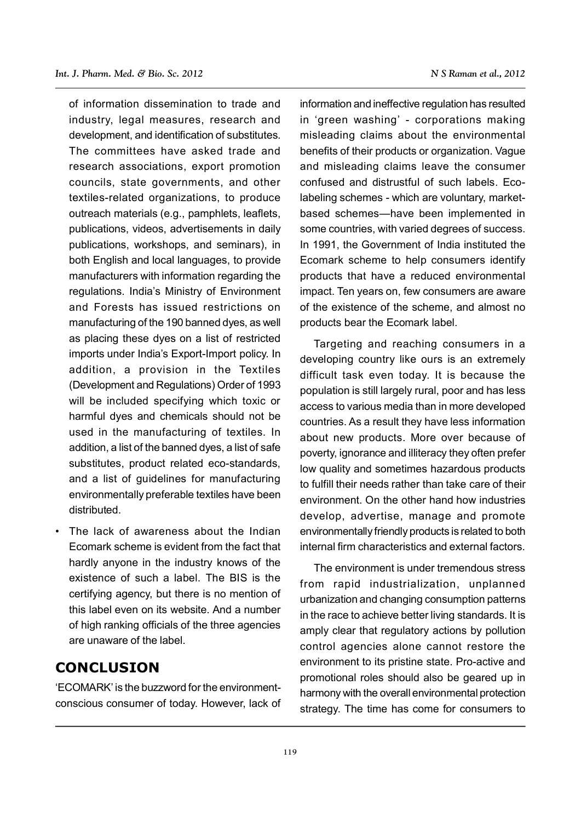of information dissemination to trade and industry, legal measures, research and development, and identification of substitutes. The committees have asked trade and research associations, export promotion councils, state governments, and other textiles-related organizations, to produce outreach materials (e.g., pamphlets, leaflets, publications, videos, advertisements in daily publications, workshops, and seminars), in both English and local languages, to provide manufacturers with information regarding the regulations. India's Ministry of Environment and Forests has issued restrictions on manufacturing of the 190 banned dyes, as well as placing these dyes on a list of restricted imports under India's Export-Import policy. In addition, a provision in the Textiles (Development and Regulations) Order of 1993 will be included specifying which toxic or harmful dyes and chemicals should not be used in the manufacturing of textiles. In addition, a list of the banned dyes, a list of safe substitutes, product related eco-standards, and a list of guidelines for manufacturing environmentally preferable textiles have been distributed.

• The lack of awareness about the Indian Ecomark scheme is evident from the fact that hardly anyone in the industry knows of the existence of such a label. The BIS is the certifying agency, but there is no mention of this label even on its website. And a number of high ranking officials of the three agencies are unaware of the label.

### **CONCLUSION**

'ECOMARK' is the buzzword for the environmentconscious consumer of today. However, lack of information and ineffective regulation has resulted in 'green washing' - corporations making misleading claims about the environmental benefits of their products or organization. Vague and misleading claims leave the consumer confused and distrustful of such labels. Ecolabeling schemes - which are voluntary, marketbased schemes—have been implemented in some countries, with varied degrees of success. In 1991, the Government of India instituted the Ecomark scheme to help consumers identify products that have a reduced environmental impact. Ten years on, few consumers are aware of the existence of the scheme, and almost no products bear the Ecomark label.

Targeting and reaching consumers in a developing country like ours is an extremely difficult task even today. It is because the population is still largely rural, poor and has less access to various media than in more developed countries. As a result they have less information about new products. More over because of poverty, ignorance and illiteracy they often prefer low quality and sometimes hazardous products to fulfill their needs rather than take care of their environment. On the other hand how industries develop, advertise, manage and promote environmentally friendly products is related to both internal firm characteristics and external factors.

The environment is under tremendous stress from rapid industrialization, unplanned urbanization and changing consumption patterns in the race to achieve better living standards. It is amply clear that regulatory actions by pollution control agencies alone cannot restore the environment to its pristine state. Pro-active and promotional roles should also be geared up in harmony with the overall environmental protection strategy. The time has come for consumers to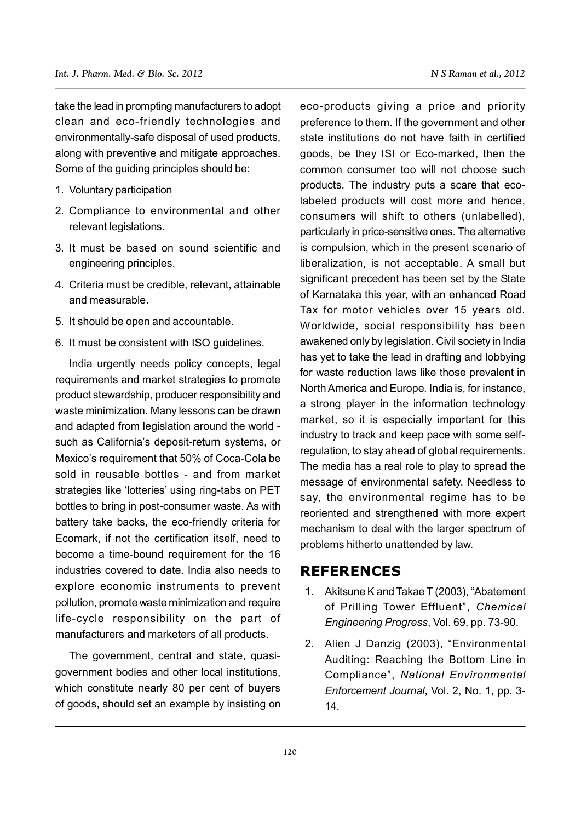take the lead in prompting manufacturers to adopt clean and eco-friendly technologies and environmentally-safe disposal of used products, along with preventive and mitigate approaches. Some of the guiding principles should be:

- 1. Voluntary participation
- 2. Compliance to environmental and other relevant legislations.
- 3. It must be based on sound scientific and engineering principles.
- 4. Criteria must be credible, relevant, attainable and measurable.
- 5. It should be open and accountable.
- 6. It must be consistent with ISO guidelines.

India urgently needs policy concepts, legal requirements and market strategies to promote product stewardship, producer responsibility and waste minimization. Many lessons can be drawn and adapted from legislation around the world such as California's deposit-return systems, or Mexico's requirement that 50% of Coca-Cola be sold in reusable bottles - and from market strategies like 'lotteries' using ring-tabs on PET bottles to bring in post-consumer waste. As with battery take backs, the eco-friendly criteria for Ecomark, if not the certification itself, need to become a time-bound requirement for the 16 industries covered to date. India also needs to explore economic instruments to prevent pollution, promote waste minimization and require life-cycle responsibility on the part of manufacturers and marketers of all products.

The government, central and state, quasigovernment bodies and other local institutions, which constitute nearly 80 per cent of buyers of goods, should set an example by insisting on

eco-products giving a price and priority preference to them. If the government and other state institutions do not have faith in certified goods, be they ISI or Eco-marked, then the common consumer too will not choose such products. The industry puts a scare that ecolabeled products will cost more and hence, consumers will shift to others (unlabelled), particularly in price-sensitive ones. The alternative is compulsion, which in the present scenario of liberalization, is not acceptable. A small but significant precedent has been set by the State of Karnataka this year, with an enhanced Road Tax for motor vehicles over 15 years old. Worldwide, social responsibility has been awakened only by legislation. Civil society in India has yet to take the lead in drafting and lobbying for waste reduction laws like those prevalent in North America and Europe. India is, for instance, a strong player in the information technology market, so it is especially important for this industry to track and keep pace with some selfregulation, to stay ahead of global requirements. The media has a real role to play to spread the message of environmental safety. Needless to say, the environmental regime has to be reoriented and strengthened with more expert mechanism to deal with the larger spectrum of problems hitherto unattended by law.

### **REFERENCES**

- 1. Akitsune K and Takae T (2003), "Abatement of Prilling Tower Effluent", *Chemical Engineering Progress*, Vol. 69, pp. 73-90.
- 2. Alien J Danzig (2003), "Environmental Auditing: Reaching the Bottom Line in Compliance", *National Environmental Enforcement Journal*, Vol. 2, No. 1, pp. 3- 14.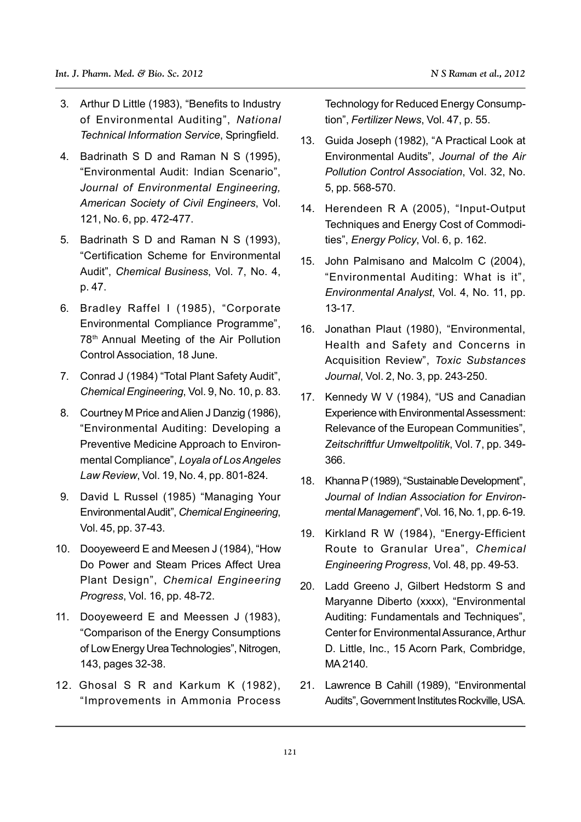- 3. Arthur D Little (1983), "Benefits to Industry of Environmental Auditing", *National Technical Information Service*, Springfield.
- 4. Badrinath S D and Raman N S (1995), "Environmental Audit: Indian Scenario", *Journal of Environmental Engineering, American Society of Civil Engineers*, Vol. 121, No. 6, pp. 472-477.
- 5. Badrinath S D and Raman N S (1993), "Certification Scheme for Environmental Audit", *Chemical Business*, Vol. 7, No. 4, p. 47.
- 6. Bradley Raffel I (1985), "Corporate Environmental Compliance Programme", 78th Annual Meeting of the Air Pollution Control Association, 18 June.
- 7. Conrad J (1984) "Total Plant Safety Audit", *Chemical Engineering*, Vol. 9, No. 10, p. 83.
- 8. Courtney M Price and Alien J Danzig (1986), "Environmental Auditing: Developing a Preventive Medicine Approach to Environmental Compliance", *Loyala of Los Angeles Law Review*, Vol. 19, No. 4, pp. 801-824.
- 9. David L Russel (1985) "Managing Your Environmental Audit", *Chemical Engineering*, Vol. 45, pp. 37-43.
- 10. Dooyeweerd E and Meesen J (1984), "How Do Power and Steam Prices Affect Urea Plant Design", *Chemical Engineering Progress*, Vol. 16, pp. 48-72.
- 11. Dooyeweerd E and Meessen J (1983), "Comparison of the Energy Consumptions of Low Energy Urea Technologies", Nitrogen, 143, pages 32-38.
- 12. Ghosal S R and Karkum K (1982), "Improvements in Ammonia Process

Technology for Reduced Energy Consumption", *Fertilizer News*, Vol. 47, p. 55.

- 13. Guida Joseph (1982), "A Practical Look at Environmental Audits", *Journal of the Air Pollution Control Association*, Vol. 32, No. 5, pp. 568-570.
- 14. Herendeen R A (2005), "Input-Output Techniques and Energy Cost of Commodities", *Energy Policy*, Vol. 6, p. 162.
- 15. John Palmisano and Malcolm C (2004), "Environmental Auditing: What is it", *Environmental Analyst*, Vol. 4, No. 11, pp. 13-17.
- 16. Jonathan Plaut (1980), "Environmental, Health and Safety and Concerns in Acquisition Review", *Toxic Substances Journal*, Vol. 2, No. 3, pp. 243-250.
- 17. Kennedy W V (1984), "US and Canadian Experience with Environmental Assessment: Relevance of the European Communities", *Zeitschriftfur Umweltpolitik*, Vol. 7, pp. 349- 366.
- 18. Khanna P (1989), "Sustainable Development", *Journal of Indian Association for Environmental Management*", Vol. 16, No. 1, pp. 6-19.
- 19. Kirkland R W (1984), "Energy-Efficient Route to Granular Urea", *Chemical Engineering Progress*, Vol. 48, pp. 49-53.
- 20. Ladd Greeno J, Gilbert Hedstorm S and Maryanne Diberto (xxxx), "Environmental Auditing: Fundamentals and Techniques", Center for Environmental Assurance, Arthur D. Little, Inc., 15 Acorn Park, Combridge, MA 2140.
- 21. Lawrence B Cahill (1989), "Environmental Audits", Government Institutes Rockville, USA.